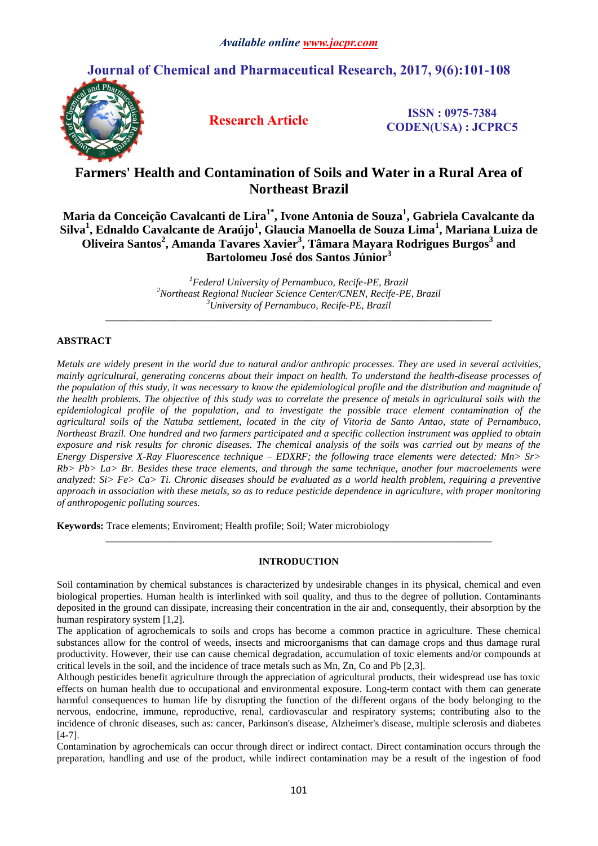# **Journal of Chemical and Pharmaceutical Research, 2017, 9(6):101-108**



**Research Article ISSN : 0975-7384 CODEN(USA) : JCPRC5**

# **Farmers' Health and Contamination of Soils and Water in a Rural Area of Northeast Brazil**

**Maria da Conceição Cavalcanti de Lira1\* , Ivone Antonia de Souza 1 , Gabriela Cavalcante da Silva<sup>1</sup> , Ednaldo Cavalcante de Araújo<sup>1</sup> , Glaucia Manoella de Souza Lima<sup>1</sup> , Mariana Luiza de Oliveira Santos<sup>2</sup> , Amanda Tavares Xavier<sup>3</sup> , Tâmara Mayara Rodrigues Burgos<sup>3</sup> and Bartolomeu José dos Santos Júnior<sup>3</sup>**

> *<sup>1</sup>Federal University of Pernambuco, Recife-PE, Brazil <sup>2</sup>Northeast Regional Nuclear Science Center/CNEN, Recife-PE, Brazil <sup>3</sup>University of Pernambuco, Recife-PE, Brazil*

*\_\_\_\_\_\_\_\_\_\_\_\_\_\_\_\_\_\_\_\_\_\_\_\_\_\_\_\_\_\_\_\_\_\_\_\_\_\_\_\_\_\_\_\_\_\_\_\_\_\_\_\_\_\_\_\_\_\_\_\_\_\_\_\_\_\_\_\_\_\_\_\_\_\_\_\_\_*

# **ABSTRACT**

*Metals are widely present in the world due to natural and/or anthropic processes. They are used in several activities, mainly agricultural, generating concerns about their impact on health. To understand the health-disease processes of the population of this study, it was necessary to know the epidemiological profile and the distribution and magnitude of the health problems. The objective of this study was to correlate the presence of metals in agricultural soils with the epidemiological profile of the population, and to investigate the possible trace element contamination of the agricultural soils of the Natuba settlement, located in the city of Vitoria de Santo Antao, state of Pernambuco, Northeast Brazil. One hundred and two farmers participated and a specific collection instrument was applied to obtain exposure and risk results for chronic diseases. The chemical analysis of the soils was carried out by means of the Energy Dispersive X-Ray Fluorescence technique – EDXRF; the following trace elements were detected: Mn> Sr> Rb> Pb> La> Br. Besides these trace elements, and through the same technique, another four macroelements were analyzed: Si> Fe> Ca> Ti. Chronic diseases should be evaluated as a world health problem, requiring a preventive approach in association with these metals, so as to reduce pesticide dependence in agriculture, with proper monitoring of anthropogenic polluting sources.*

**Keywords:** Trace elements; Enviroment; Health profile; Soil; Water microbiology

## **INTRODUCTION**

*\_\_\_\_\_\_\_\_\_\_\_\_\_\_\_\_\_\_\_\_\_\_\_\_\_\_\_\_\_\_\_\_\_\_\_\_\_\_\_\_\_\_\_\_\_\_\_\_\_\_\_\_\_\_\_\_\_\_\_\_\_\_\_\_\_\_\_\_\_\_\_\_\_\_\_\_\_*

Soil contamination by chemical substances is characterized by undesirable changes in its physical, chemical and even biological properties. Human health is interlinked with soil quality, and thus to the degree of pollution. Contaminants deposited in the ground can dissipate, increasing their concentration in the air and, consequently, their absorption by the human respiratory system [1,2].

The application of agrochemicals to soils and crops has become a common practice in agriculture. These chemical substances allow for the control of weeds, insects and microorganisms that can damage crops and thus damage rural productivity. However, their use can cause chemical degradation, accumulation of toxic elements and/or compounds at critical levels in the soil, and the incidence of trace metals such as Mn, Zn, Co and Pb [2,3].

Although pesticides benefit agriculture through the appreciation of agricultural products, their widespread use has toxic effects on human health due to occupational and environmental exposure. Long-term contact with them can generate harmful consequences to human life by disrupting the function of the different organs of the body belonging to the nervous, endocrine, immune, reproductive, renal, cardiovascular and respiratory systems; contributing also to the incidence of chronic diseases, such as: cancer, Parkinson's disease, Alzheimer's disease, multiple sclerosis and diabetes [4-7].

Contamination by agrochemicals can occur through direct or indirect contact. Direct contamination occurs through the preparation, handling and use of the product, while indirect contamination may be a result of the ingestion of food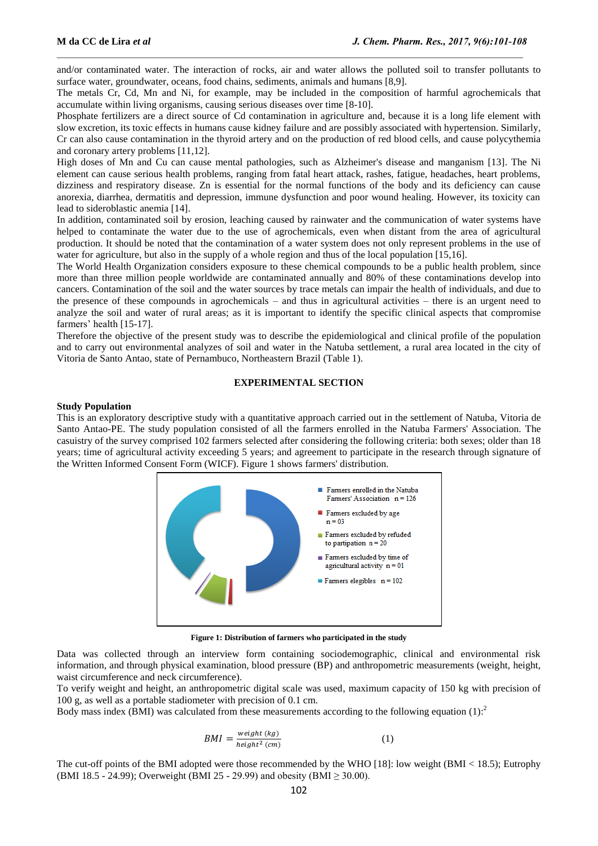and/or contaminated water. The interaction of rocks, air and water allows the polluted soil to transfer pollutants to surface water, groundwater, oceans, food chains, sediments, animals and humans [8,9].

The metals Cr, Cd, Mn and Ni, for example, may be included in the composition of harmful agrochemicals that accumulate within living organisms, causing serious diseases over time [8-10].

Phosphate fertilizers are a direct source of Cd contamination in agriculture and, because it is a long life element with slow excretion, its toxic effects in humans cause kidney failure and are possibly associated with hypertension. Similarly, Cr can also cause contamination in the thyroid artery and on the production of red blood cells, and cause polycythemia and coronary artery problems [11,12].

High doses of Mn and Cu can cause mental pathologies, such as Alzheimer's disease and manganism [13]. The Ni element can cause serious health problems, ranging from fatal heart attack, rashes, fatigue, headaches, heart problems, dizziness and respiratory disease. Zn is essential for the normal functions of the body and its deficiency can cause anorexia, diarrhea, dermatitis and depression, immune dysfunction and poor wound healing. However, its toxicity can lead to sideroblastic anemia [14].

In addition, contaminated soil by erosion, leaching caused by rainwater and the communication of water systems have helped to contaminate the water due to the use of agrochemicals, even when distant from the area of agricultural production. It should be noted that the contamination of a water system does not only represent problems in the use of water for agriculture, but also in the supply of a whole region and thus of the local population [15,16].

The World Health Organization considers exposure to these chemical compounds to be a public health problem, since more than three million people worldwide are contaminated annually and 80% of these contaminations develop into cancers. Contamination of the soil and the water sources by trace metals can impair the health of individuals, and due to the presence of these compounds in agrochemicals – and thus in agricultural activities – there is an urgent need to analyze the soil and water of rural areas; as it is important to identify the specific clinical aspects that compromise farmers' health [15-17].

Therefore the objective of the present study was to describe the epidemiological and clinical profile of the population and to carry out environmental analyzes of soil and water in the Natuba settlement, a rural area located in the city of Vitoria de Santo Antao, state of Pernambuco, Northeastern Brazil (Table 1).

## **EXPERIMENTAL SECTION**

#### **Study Population**

This is an exploratory descriptive study with a quantitative approach carried out in the settlement of Natuba, Vitoria de Santo Antao-PE. The study population consisted of all the farmers enrolled in the Natuba Farmers' Association. The casuistry of the survey comprised 102 farmers selected after considering the following criteria: both sexes; older than 18 years; time of agricultural activity exceeding 5 years; and agreement to participate in the research through signature of the Written Informed Consent Form (WICF). Figure 1 shows farmers' distribution.



**Figure 1: Distribution of farmers who participated in the study**

Data was collected through an interview form containing sociodemographic, clinical and environmental risk information, and through physical examination, blood pressure (BP) and anthropometric measurements (weight, height, waist circumference and neck circumference).

To verify weight and height, an anthropometric digital scale was used, maximum capacity of 150 kg with precision of 100 g, as well as a portable stadiometer with precision of 0.1 cm.

Body mass index (BMI) was calculated from these measurements according to the following equation (1):<sup>2</sup>

$$
BMI = \frac{weight(kg)}{height^2 (cm)}\tag{1}
$$

The cut-off points of the BMI adopted were those recommended by the WHO [18]: low weight (BMI < 18.5); Eutrophy (BMI 18.5 - 24.99); Overweight (BMI 25 - 29.99) and obesity (BMI  $\geq$  30.00).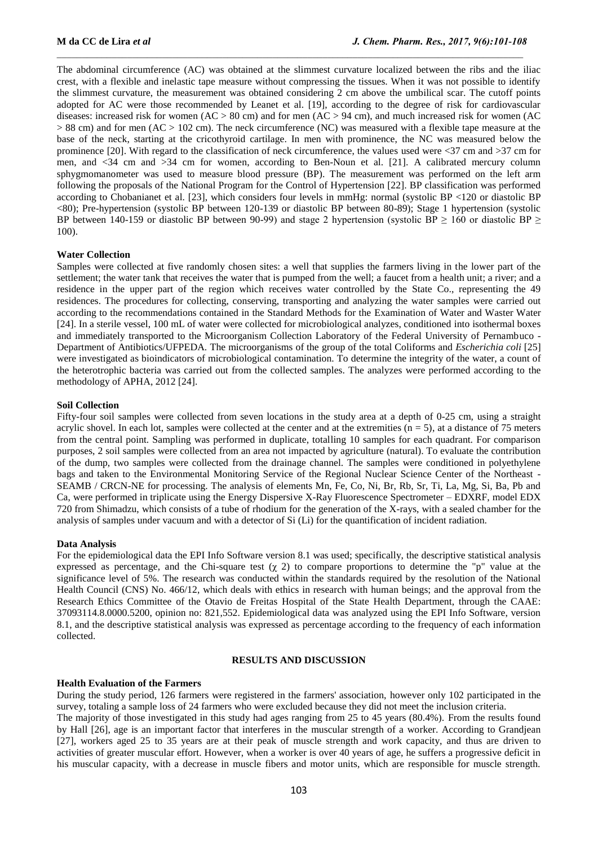The abdominal circumference (AC) was obtained at the slimmest curvature localized between the ribs and the iliac crest, with a flexible and inelastic tape measure without compressing the tissues. When it was not possible to identify the slimmest curvature, the measurement was obtained considering 2 cm above the umbilical scar. The cutoff points adopted for AC were those recommended by Leanet et al. [19], according to the degree of risk for cardiovascular diseases: increased risk for women ( $AC > 80$  cm) and for men ( $AC > 94$  cm), and much increased risk for women (AC  $> 88$  cm) and for men (AC  $> 102$  cm). The neck circumference (NC) was measured with a flexible tape measure at the base of the neck, starting at the cricothyroid cartilage. In men with prominence, the NC was measured below the prominence [20]. With regard to the classification of neck circumference, the values used were <37 cm and >37 cm for men, and <34 cm and >34 cm for women, according to Ben-Noun et al. [21]. A calibrated mercury column sphygmomanometer was used to measure blood pressure (BP). The measurement was performed on the left arm following the proposals of the National Program for the Control of Hypertension [22]. BP classification was performed according to Chobanianet et al. [23], which considers four levels in mmHg: normal (systolic BP <120 or diastolic BP <80); Pre-hypertension (systolic BP between 120-139 or diastolic BP between 80-89); Stage 1 hypertension (systolic BP between 140-159 or diastolic BP between 90-99) and stage 2 hypertension (systolic BP  $> 160$  or diastolic BP  $>$ 100).

## **Water Collection**

Samples were collected at five randomly chosen sites: a well that supplies the farmers living in the lower part of the settlement; the water tank that receives the water that is pumped from the well; a faucet from a health unit; a river; and a residence in the upper part of the region which receives water controlled by the State Co., representing the 49 residences. The procedures for collecting, conserving, transporting and analyzing the water samples were carried out according to the recommendations contained in the Standard Methods for the Examination of Water and Waster Water [24]. In a sterile vessel, 100 mL of water were collected for microbiological analyzes, conditioned into isothermal boxes and immediately transported to the Microorganism Collection Laboratory of the Federal University of Pernambuco - Department of Antibiotics/UFPEDA. The microorganisms of the group of the total Coliforms and *Escherichia coli* [25] were investigated as bioindicators of microbiological contamination. To determine the integrity of the water, a count of the heterotrophic bacteria was carried out from the collected samples. The analyzes were performed according to the methodology of APHA, 2012 [24].

#### **Soil Collection**

Fifty-four soil samples were collected from seven locations in the study area at a depth of 0-25 cm, using a straight acrylic shovel. In each lot, samples were collected at the center and at the extremities  $(n = 5)$ , at a distance of 75 meters from the central point. Sampling was performed in duplicate, totalling 10 samples for each quadrant. For comparison purposes, 2 soil samples were collected from an area not impacted by agriculture (natural). To evaluate the contribution of the dump, two samples were collected from the drainage channel. The samples were conditioned in polyethylene bags and taken to the Environmental Monitoring Service of the Regional Nuclear Science Center of the Northeast - SEAMB / CRCN-NE for processing. The analysis of elements Mn, Fe, Co, Ni, Br, Rb, Sr, Ti, La, Mg, Si, Ba, Pb and Ca, were performed in triplicate using the Energy Dispersive X-Ray Fluorescence Spectrometer – EDXRF, model EDX 720 from Shimadzu, which consists of a tube of rhodium for the generation of the X-rays, with a sealed chamber for the analysis of samples under vacuum and with a detector of Si (Li) for the quantification of incident radiation.

#### **Data Analysis**

For the epidemiological data the EPI Info Software version 8.1 was used; specifically, the descriptive statistical analysis expressed as percentage, and the Chi-square test  $(\gamma 2)$  to compare proportions to determine the "p" value at the significance level of 5%. The research was conducted within the standards required by the resolution of the National Health Council (CNS) No. 466/12, which deals with ethics in research with human beings; and the approval from the Research Ethics Committee of the Otavio de Freitas Hospital of the State Health Department, through the CAAE: 37093114.8.0000.5200, opinion no: 821,552. Epidemiological data was analyzed using the EPI Info Software, version 8.1, and the descriptive statistical analysis was expressed as percentage according to the frequency of each information collected.

#### **RESULTS AND DISCUSSION**

#### **Health Evaluation of the Farmers**

During the study period, 126 farmers were registered in the farmers' association, however only 102 participated in the survey, totaling a sample loss of 24 farmers who were excluded because they did not meet the inclusion criteria.

The majority of those investigated in this study had ages ranging from 25 to 45 years (80.4%). From the results found by Hall [26], age is an important factor that interferes in the muscular strength of a worker. According to Grandjean [27], workers aged 25 to 35 years are at their peak of muscle strength and work capacity, and thus are driven to activities of greater muscular effort. However, when a worker is over 40 years of age, he suffers a progressive deficit in his muscular capacity, with a decrease in muscle fibers and motor units, which are responsible for muscle strength.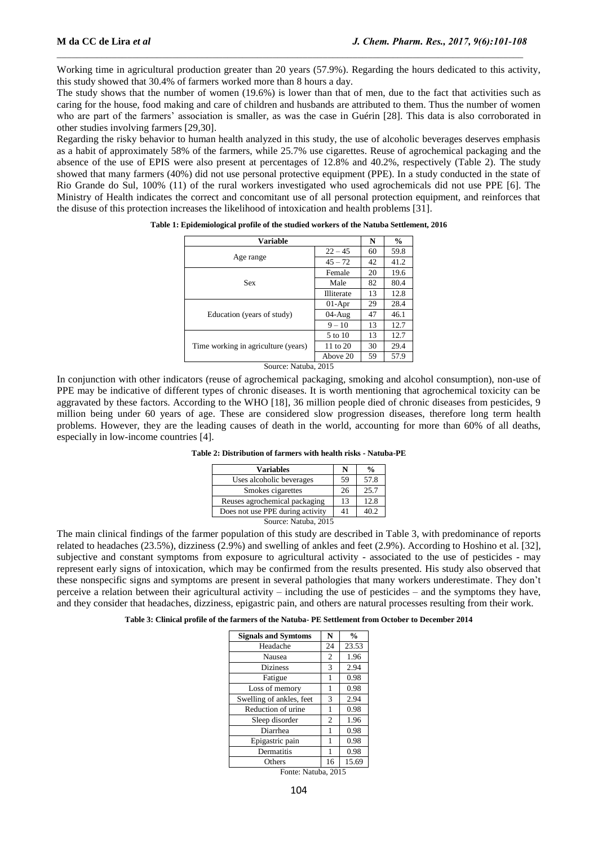Working time in agricultural production greater than 20 years (57.9%). Regarding the hours dedicated to this activity, this study showed that 30.4% of farmers worked more than 8 hours a day.

The study shows that the number of women (19.6%) is lower than that of men, due to the fact that activities such as caring for the house, food making and care of children and husbands are attributed to them. Thus the number of women who are part of the farmers' association is smaller, as was the case in Guérin [28]. This data is also corroborated in other studies involving farmers [29,30].

Regarding the risky behavior to human health analyzed in this study, the use of alcoholic beverages deserves emphasis as a habit of approximately 58% of the farmers, while 25.7% use cigarettes. Reuse of agrochemical packaging and the absence of the use of EPIS were also present at percentages of 12.8% and 40.2%, respectively (Table 2). The study showed that many farmers (40%) did not use personal protective equipment (PPE). In a study conducted in the state of Rio Grande do Sul, 100% (11) of the rural workers investigated who used agrochemicals did not use PPE [6]. The Ministry of Health indicates the correct and concomitant use of all personal protection equipment, and reinforces that the disuse of this protection increases the likelihood of intoxication and health problems [31].

| <b>Variable</b>                     |            |    | $\frac{6}{9}$ |
|-------------------------------------|------------|----|---------------|
|                                     | $22 - 45$  | 60 | 59.8          |
| Age range                           | $45 - 72$  | 42 | 41.2          |
|                                     | Female     | 20 | 19.6          |
| <b>Sex</b>                          | Male       | 82 | 80.4          |
|                                     | Illiterate | 13 | 12.8          |
| Education (years of study)          | $01-Apr$   | 29 | 28.4          |
|                                     | $04-Au$ g  | 47 | 46.1          |
|                                     | $9 - 10$   | 13 | 12.7          |
|                                     | 5 to 10    | 13 | 12.7          |
| Time working in agriculture (years) | 11 to 20   | 30 | 29.4          |
|                                     | Above 20   | 59 | 57.9          |

**Table 1: Epidemiological profile of the studied workers of the Natuba Settlement, 2016**

Source: Natuba, 2015

In conjunction with other indicators (reuse of agrochemical packaging, smoking and alcohol consumption), non-use of PPE may be indicative of different types of chronic diseases. It is worth mentioning that agrochemical toxicity can be aggravated by these factors. According to the WHO [18], 36 million people died of chronic diseases from pesticides, 9 million being under 60 years of age. These are considered slow progression diseases, therefore long term health problems. However, they are the leading causes of death in the world, accounting for more than 60% of all deaths, especially in low-income countries [4].

**Table 2: Distribution of farmers with health risks - Natuba-PE**

| <b>Variables</b>                 | N  | $\frac{0}{0}$ |
|----------------------------------|----|---------------|
| Uses alcoholic beverages         | 59 | 57.8          |
| Smokes cigarettes                | 26 | 25.7          |
| Reuses agrochemical packaging    | 13 | 12.8          |
| Does not use PPE during activity | 41 | 40.2          |
| Source: Natuba, 2015             |    |               |

The main clinical findings of the farmer population of this study are described in Table 3, with predominance of reports related to headaches (23.5%), dizziness (2.9%) and swelling of ankles and feet (2.9%). According to Hoshino et al. [32], subjective and constant symptoms from exposure to agricultural activity - associated to the use of pesticides - may represent early signs of intoxication, which may be confirmed from the results presented. His study also observed that these nonspecific signs and symptoms are present in several pathologies that many workers underestimate. They don't perceive a relation between their agricultural activity – including the use of pesticides – and the symptoms they have, and they consider that headaches, dizziness, epigastric pain, and others are natural processes resulting from their work.

**Table 3: Clinical profile of the farmers of the Natuba- PE Settlement from October to December 2014**

| <b>Signals and Symtoms</b>     | N              | $\frac{0}{0}$ |  |  |
|--------------------------------|----------------|---------------|--|--|
| Headache                       | 24             | 23.53         |  |  |
| Nausea                         | $\overline{2}$ | 1.96          |  |  |
| <b>Diziness</b>                | 3              | 2.94          |  |  |
| Fatigue                        | 1              | 0.98          |  |  |
| Loss of memory                 | 1              | 0.98          |  |  |
| Swelling of ankles, feet       | 3              | 2.94          |  |  |
| Reduction of urine             | 1              | 0.98          |  |  |
| Sleep disorder                 | $\overline{2}$ | 1.96          |  |  |
| Diarrhea                       | 1              | 0.98          |  |  |
| Epigastric pain                | 1              | 0.98          |  |  |
| Dermatitis                     | 1              | 0.98          |  |  |
| Others                         | 16             | 15.69         |  |  |
| $E_{\text{out}}$ Matuka $2015$ |                |               |  |  |

Fonte: Natuba, 2015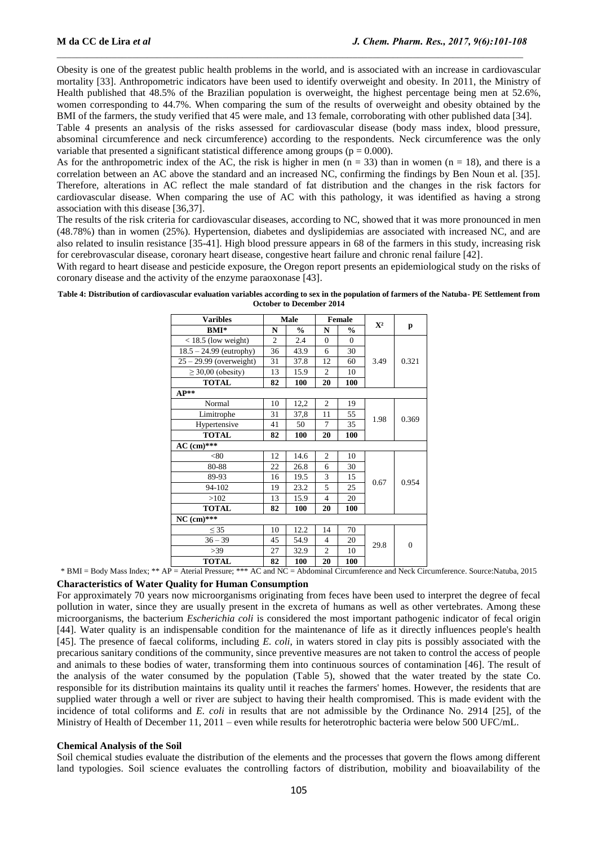Obesity is one of the greatest public health problems in the world, and is associated with an increase in cardiovascular mortality [33]. Anthropometric indicators have been used to identify overweight and obesity. In 2011, the Ministry of Health published that 48.5% of the Brazilian population is overweight, the highest percentage being men at 52.6%, women corresponding to 44.7%. When comparing the sum of the results of overweight and obesity obtained by the BMI of the farmers, the study verified that 45 were male, and 13 female, corroborating with other published data [34].

Table 4 presents an analysis of the risks assessed for cardiovascular disease (body mass index, blood pressure, absominal circumference and neck circumference) according to the respondents. Neck circumference was the only variable that presented a significant statistical difference among groups ( $p = 0.000$ ).

As for the anthropometric index of the AC, the risk is higher in men  $(n = 33)$  than in women  $(n = 18)$ , and there is a correlation between an AC above the standard and an increased NC, confirming the findings by Ben Noun et al. [35]. Therefore, alterations in AC reflect the male standard of fat distribution and the changes in the risk factors for cardiovascular disease. When comparing the use of AC with this pathology, it was identified as having a strong association with this disease [36,37].

The results of the risk criteria for cardiovascular diseases, according to NC, showed that it was more pronounced in men (48.78%) than in women (25%). Hypertension, diabetes and dyslipidemias are associated with increased NC, and are also related to insulin resistance [35-41]. High blood pressure appears in 68 of the farmers in this study, increasing risk for cerebrovascular disease, coronary heart disease, congestive heart failure and chronic renal failure [42].

With regard to heart disease and pesticide exposure, the Oregon report presents an epidemiological study on the risks of coronary disease and the activity of the enzyme paraoxonase [43].

**Table 4: Distribution of cardiovascular evaluation variables according to sex in the population of farmers of the Natuba- PE Settlement from October to December 2014**

| <b>Varibles</b>           | <b>Male</b>    |               | <b>Female</b>  |               | $\mathbf{X}^2$ |          |  |
|---------------------------|----------------|---------------|----------------|---------------|----------------|----------|--|
| <b>BMI*</b>               | N              | $\frac{0}{0}$ | N              | $\frac{0}{0}$ |                | р        |  |
| $<$ 18.5 (low weight)     | $\overline{c}$ | 2.4           | $\Omega$       | $\Omega$      | 3.49           |          |  |
| $18.5 - 24.99$ (eutrophy) | 36             | 43.9          | 6              | 30            |                |          |  |
| $25 - 29.99$ (overweight) | 31             | 37.8          | 12             | 60            |                | 0.321    |  |
| $\geq$ 30,00 (obesity)    | 13             | 15.9          | $\overline{c}$ | 10            |                |          |  |
| <b>TOTAL</b>              | 82             | 100           | 20             | 100           |                |          |  |
| $AP**$                    |                |               |                |               |                |          |  |
| Normal                    | 10             | 12,2          | $\overline{c}$ | 19            |                | 0.369    |  |
| Limitrophe                | 31             | 37,8          | 11             | 55            | 1.98           |          |  |
| Hypertensive              | 41             | 50            | 7              | 35            |                |          |  |
| <b>TOTAL</b>              | 82             | 100           | 20             | 100           |                |          |  |
| $AC$ (cm)***              |                |               |                |               |                |          |  |
| < 80                      | 12             | 14.6          | $\overline{c}$ | 10            |                |          |  |
| 80-88                     | 22             | 26.8          | 6              | 30            |                |          |  |
| 89-93                     | 16             | 19.5          | 3              | 15            |                | 0.954    |  |
| 94-102                    | 19             | 23.2          | 5              | 25            | 0.67           |          |  |
| >102                      | 13             | 15.9          | $\overline{4}$ | 20            |                |          |  |
| <b>TOTAL</b>              | 82             | 100           | 20             | 100           |                |          |  |
| $NC$ (cm)***              |                |               |                |               |                |          |  |
| $<$ 35                    | 10             | 12.2          | 14             | 70            | 29.8           |          |  |
| $36 - 39$                 | 45             | 54.9          | 4              | 20            |                | $\theta$ |  |
| >39                       | 27             | 32.9          | $\overline{c}$ | 10            |                |          |  |
| <b>TOTAL</b>              | 82             | 100           | 20             | 100           |                |          |  |

\* BMI = Body Mass Index; \*\* AP = Aterial Pressure; \*\*\* AC and NC = Abdominal Circumference and Neck Circumference. Source:Natuba, 2015

## **Characteristics of Water Quality for Human Consumption**

For approximately 70 years now microorganisms originating from feces have been used to interpret the degree of fecal pollution in water, since they are usually present in the excreta of humans as well as other vertebrates. Among these microorganisms, the bacterium *Escherichia coli* is considered the most important pathogenic indicator of fecal origin [44]. Water quality is an indispensable condition for the maintenance of life as it directly influences people's health [45]. The presence of faecal coliforms, including *E. coli*, in waters stored in clay pits is possibly associated with the precarious sanitary conditions of the community, since preventive measures are not taken to control the access of people and animals to these bodies of water, transforming them into continuous sources of contamination [46]. The result of the analysis of the water consumed by the population (Table 5), showed that the water treated by the state Co. responsible for its distribution maintains its quality until it reaches the farmers' homes. However, the residents that are supplied water through a well or river are subject to having their health compromised. This is made evident with the incidence of total coliforms and *E. coli* in results that are not admissible by the Ordinance No. 2914 [25], of the Ministry of Health of December 11, 2011 – even while results for heterotrophic bacteria were below 500 UFC/mL.

## **Chemical Analysis of the Soil**

Soil chemical studies evaluate the distribution of the elements and the processes that govern the flows among different land typologies. Soil science evaluates the controlling factors of distribution, mobility and bioavailability of the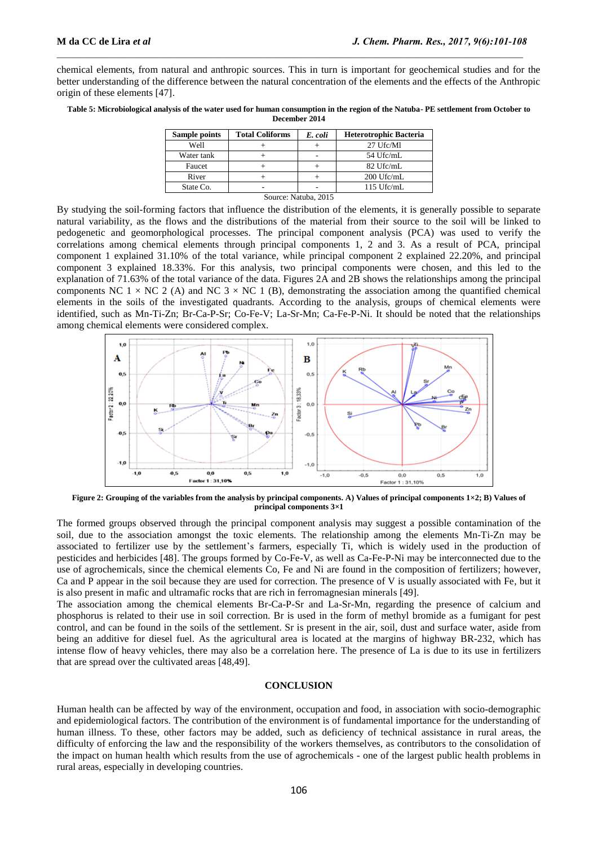chemical elements, from natural and anthropic sources. This in turn is important for geochemical studies and for the better understanding of the difference between the natural concentration of the elements and the effects of the Anthropic origin of these elements [47].

| Table 5: Microbiological analysis of the water used for human consumption in the region of the Natuba-PE settlement from October to |
|-------------------------------------------------------------------------------------------------------------------------------------|
| December 2014                                                                                                                       |

| <b>Sample points</b> | <b>Total Coliforms</b> | E. coli | <b>Heterotrophic Bacteria</b> |  |
|----------------------|------------------------|---------|-------------------------------|--|
| Well                 |                        |         | 27 Ufc/Ml                     |  |
| Water tank           |                        |         | 54 Ufc/mL                     |  |
| Faucet               |                        |         | 82 Ufc/mL                     |  |
| River                |                        |         | 200 Ufc/mL                    |  |
| State Co.            |                        |         | $115 \text{ Ufc/mL}$          |  |
| Source: Natuba, 2015 |                        |         |                               |  |

By studying the soil-forming factors that influence the distribution of the elements, it is generally possible to separate natural variability, as the flows and the distributions of the material from their source to the soil will be linked to pedogenetic and geomorphological processes. The principal component analysis (PCA) was used to verify the correlations among chemical elements through principal components 1, 2 and 3. As a result of PCA, principal component 1 explained 31.10% of the total variance, while principal component 2 explained 22.20%, and principal component 3 explained 18.33%. For this analysis, two principal components were chosen, and this led to the explanation of 71.63% of the total variance of the data. Figures 2A and 2B shows the relationships among the principal components NC 1  $\times$  NC 2 (A) and NC 3  $\times$  NC 1 (B), demonstrating the association among the quantified chemical elements in the soils of the investigated quadrants. According to the analysis, groups of chemical elements were identified, such as Mn-Ti-Zn; Br-Ca-P-Sr; Co-Fe-V; La-Sr-Mn; Ca-Fe-P-Ni. It should be noted that the relationships among chemical elements were considered complex.



**Figure 2: Grouping of the variables from the analysis by principal components. A) Values of principal components 1×2; B) Values of principal components 3×1**

The formed groups observed through the principal component analysis may suggest a possible contamination of the soil, due to the association amongst the toxic elements. The relationship among the elements Mn-Ti-Zn may be associated to fertilizer use by the settlement's farmers, especially Ti, which is widely used in the production of pesticides and herbicides [48]. The groups formed by Co-Fe-V, as well as Ca-Fe-P-Ni may be interconnected due to the use of agrochemicals, since the chemical elements Co, Fe and Ni are found in the composition of fertilizers; however, Ca and P appear in the soil because they are used for correction. The presence of V is usually associated with Fe, but it is also present in mafic and ultramafic rocks that are rich in ferromagnesian minerals [49].

The association among the chemical elements Br-Ca-P-Sr and La-Sr-Mn, regarding the presence of calcium and phosphorus is related to their use in soil correction. Br is used in the form of methyl bromide as a fumigant for pest control, and can be found in the soils of the settlement. Sr is present in the air, soil, dust and surface water, aside from being an additive for diesel fuel. As the agricultural area is located at the margins of highway BR-232, which has intense flow of heavy vehicles, there may also be a correlation here. The presence of La is due to its use in fertilizers that are spread over the cultivated areas [48,49].

## **CONCLUSION**

Human health can be affected by way of the environment, occupation and food, in association with socio-demographic and epidemiological factors. The contribution of the environment is of fundamental importance for the understanding of human illness. To these, other factors may be added, such as deficiency of technical assistance in rural areas, the difficulty of enforcing the law and the responsibility of the workers themselves, as contributors to the consolidation of the impact on human health which results from the use of agrochemicals - one of the largest public health problems in rural areas, especially in developing countries.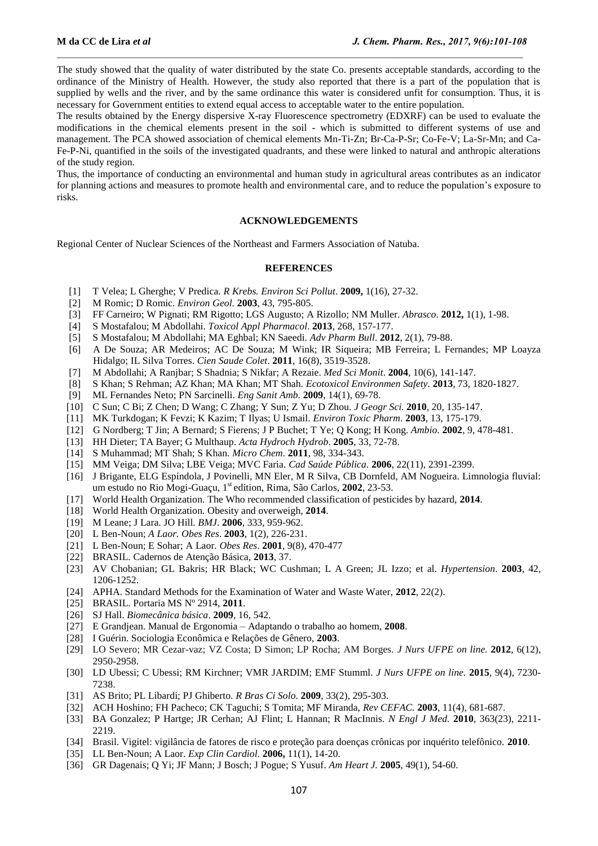The study showed that the quality of water distributed by the state Co. presents acceptable standards, according to the ordinance of the Ministry of Health. However, the study also reported that there is a part of the population that is supplied by wells and the river, and by the same ordinance this water is considered unfit for consumption. Thus, it is necessary for Government entities to extend equal access to acceptable water to the entire population.

The results obtained by the Energy dispersive X-ray Fluorescence spectrometry (EDXRF) can be used to evaluate the modifications in the chemical elements present in the soil - which is submitted to different systems of use and management. The PCA showed association of chemical elements Mn-Ti-Zn; Br-Ca-P-Sr; Co-Fe-V; La-Sr-Mn; and Ca-Fe-P-Ni, quantified in the soils of the investigated quadrants, and these were linked to natural and anthropic alterations of the study region.

Thus, the importance of conducting an environmental and human study in agricultural areas contributes as an indicator for planning actions and measures to promote health and environmental care, and to reduce the population's exposure to risks.

### **ACKNOWLEDGEMENTS**

Regional Center of Nuclear Sciences of the Northeast and Farmers Association of Natuba.

#### **REFERENCES**

- [1] T Velea; L Gherghe; V Predica. *R Krebs. Environ Sci Pollut*. **2009,** 1(16), 27-32.
- [2] M Romic; D Romic. *Environ Geol.* **2003**, 43, 795-805.
- [3] FF Carneiro; W Pignati; RM Rigotto; LGS Augusto; A Rizollo; NM Muller. *Abrasco*. **2012,** 1(1), 1-98.
- [4] S Mostafalou; M Abdollahi. *Toxicol Appl Pharmacol*. **2013**, 268, 157-177.
- [5] S Mostafalou; M Abdollahi; MA Eghbal; KN Saeedi. *Adv Pharm Bull*. **2012**, 2(1), 79-88.
- [6] A De Souza; AR Medeiros; AC De Souza; M Wink; IR Siqueira; MB Ferreira; L Fernandes; MP Loayza Hidalgo; IL Silva Torres. *Cien Saude Colet*. **2011**, 16(8), 3519-3528.
- [7] M Abdollahi; A Ranjbar; S Shadnia; S Nikfar; A Rezaie. *Med Sci Monit*. **2004**, 10(6), 141-147.
- [8] S Khan; S Rehman; AZ Khan; MA Khan; MT Shah. *Ecotoxicol Environmen Safety.* **2013**, 73, 1820-1827.
- [9] ML Fernandes Neto; PN Sarcinelli. *Eng Sanit Amb.* **2009**, 14(1), 69-78.
- [10] C Sun; C Bi; Z Chen; D Wang; C Zhang; Y Sun; Z Yu; D Zhou. *J Geogr Sci.* **2010**, 20, 135-147.
- [11] MK Turkdogan; K Fevzi; K Kazim; T Ilyas; U Ismail. *Environ Toxic Pharm*. **2003**, 13, 175-179.
- [12] G Nordberg; T Jin; A Bernard; S Fierens; J P Buchet; T Ye; Q Kong; H Kong. *Ambio.* **2002**, 9, 478-481.
- [13] HH Dieter; TA Bayer; G Multhaup. *Acta Hydroch Hydrob*. **2005**, 33, 72-78.
- [14] S Muhammad; MT Shah; S Khan*. Micro Chem*. **2011**, 98, 334-343.
- [15] MM Veiga; DM Silva; LBE Veiga; MVC Faria. *Cad Saúde Pública.* **2006**, 22(11), 2391-2399.
- [16] J Brigante, ELG Espíndola, J Povinelli, MN Eler, M R Silva, CB Dornfeld, AM Nogueira. Limnologia fluvial: um estudo no Rio Mogi-Guaçu, 1 st edition, Rima, São Carlos, **2002**, 23-53.
- [17] World Health Organization. The Who recommended classification of pesticides by hazard, **2014**.
- [18] World Health Organization*.* Obesity and overweigh, **2014**.
- [19] M Leane; J Lara. JO Hill*. BMJ*. **2006**, 333, 959-962.
- [20] L Ben-Noun; *A Laor. Obes Res*. **2003**, 1(2), 226-231.
- [21] L Ben-Noun; E Sohar; A Laor*. Obes Res*. **2001**, 9(8), 470-477
- [22] BRASIL. Cadernos de Atenção Básica, **2013**, 37.
- [23] AV Chobanian; GL Bakris; HR Black; WC Cushman; L A Green; JL Izzo; et al. *Hypertension*. **2003**, 42, 1206-1252.
- [24] APHA. Standard Methods for the Examination of Water and Waste Water, **2012**, 22(2).
- [25] BRASIL. Portaria MS Nº 2914, **2011**.
- [26] SJ Hall. *Biomecânica básica*. **2009**, 16, 542.
- [27] E Grandjean. Manual de Ergonomia Adaptando o trabalho ao homem, **2008**.
- [28] I Guérin. Sociologia Econômica e Relações de Gênero, **2003**.
- [29] LO Severo; MR Cezar-vaz; VZ Costa; D Simon; LP Rocha; AM Borges. *J Nurs UFPE on line.* **2012**, 6(12), 2950-2958.
- [30] LD Ubessi; C Ubessi; RM Kirchner; VMR JARDIM; EMF Stumml. *J Nurs UFPE on line.* **2015**, 9(4), 7230- 7238.
- [31] AS Brito; PL Libardi; PJ Ghiberto. *R Bras Ci Solo.* **2009**, 33(2), 295-303.
- [32] ACH Hoshino; FH Pacheco; CK Taguchi; S Tomita; MF Miranda, *Rev CEFAC.* **2003**, 11(4), 681-687.
- [33] BA Gonzalez; P Hartge; JR Cerhan; AJ Flint; L Hannan; R MacInnis. *N Engl J Med.* **2010**, 363(23), 2211- 2219.
- [34] Brasil. Vigitel: vigilância de fatores de risco e proteção para doenças crônicas por inquérito telefônico. **2010**.
- [35] LL Ben-Noun; A Laor. *Exp Clin Cardiol.* **2006,** 11(1), 14-20.
- [36] GR Dagenais; Q Yi; JF Mann; J Bosch; J Pogue; S Yusuf. *Am Heart J.* **2005**, 49(1), 54-60.